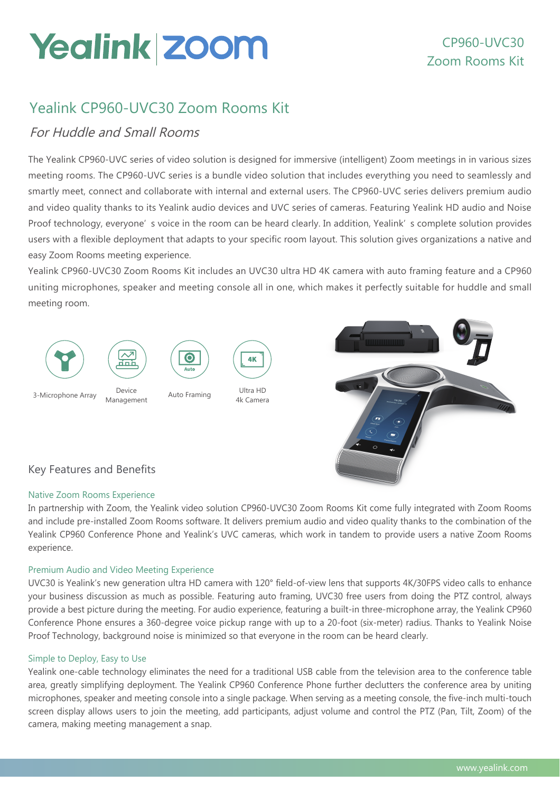# Yealink Zoom

# Yealink CP960-UVC30 Zoom Rooms Kit

## For Huddle and Small Rooms

The Yealink CP960-UVC series of video solution is designed for immersive (intelligent) Zoom meetings in in various sizes meeting rooms. The CP960-UVC series is a bundle video solution that includes everything you need to seamlessly and smartly meet, connect and collaborate with internal and external users. The CP960-UVC series delivers premium audio and video quality thanks to its Yealink audio devices and UVC series of cameras. Featuring Yealink HD audio and Noise Proof technology, everyone' s voice in the room can be heard clearly. In addition, Yealink' s complete solution provides users with a flexible deployment that adapts to your specific room layout. This solution gives organizations a native and easy Zoom Rooms meeting experience.

Yealink CP960-UVC30 Zoom Rooms Kit includes an UVC30 ultra HD 4K camera with auto framing feature and a CP960 uniting microphones, speaker and meeting console all in one, which makes it perfectly suitable for huddle and small meeting room.



## Key Features and Benefits

### Native Zoom Rooms Experience

In partnership with Zoom, the Yealink video solution CP960-UVC30 Zoom Rooms Kit come fully integrated with Zoom Rooms and include pre-installed Zoom Rooms software. It delivers premium audio and video quality thanks to the combination of the Yealink CP960 Conference Phone and Yealink's UVC cameras, which work in tandem to provide users a native Zoom Rooms experience.

### Premium Audio and Video Meeting Experience

UVC30 is Yealink's new generation ultra HD camera with 120° field-of-view lens that supports 4K/30FPS video calls to enhance your business discussion as much as possible. Featuring auto framing, UVC30 free users from doing the PTZ control, always provide a best picture during the meeting. For audio experience, featuring a built-in three-microphone array, the Yealink CP960 Conference Phone ensures a 360-degree voice pickup range with up to a 20-foot (six-meter) radius. Thanks to Yealink Noise Proof Technology, background noise is minimized so that everyone in the room can be heard clearly.

### Simple to Deploy, Easy to Use

Yealink one-cable technology eliminates the need for a traditional USB cable from the television area to the conference table area, greatly simplifying deployment. The Yealink CP960 Conference Phone further declutters the conference area by uniting microphones, speaker and meeting console into a single package. When serving as a meeting console, the five-inch multi-touch screen display allows users to join the meeting, add participants, adjust volume and control the PTZ (Pan, Tilt, Zoom) of the camera, making meeting management a snap.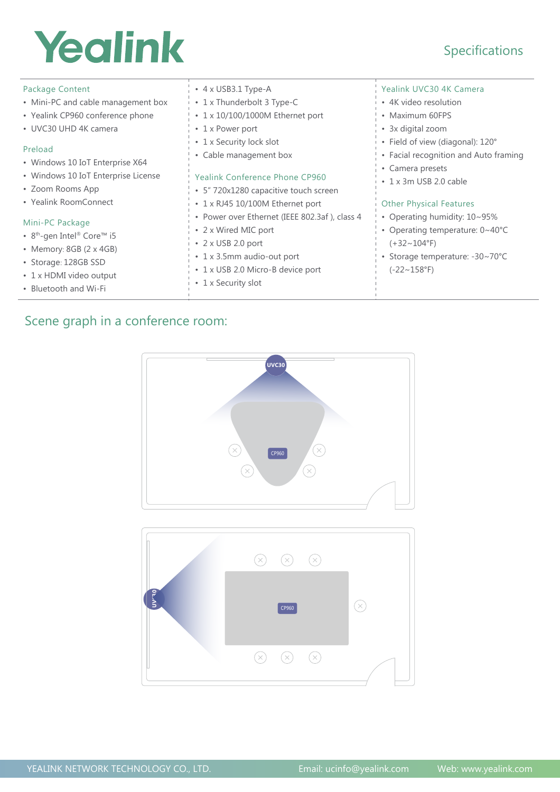# Yealink

## Specifications

| Package Content<br>• Mini-PC and cable management box<br>• Yealink CP960 conference phone<br>• UVC30 UHD 4K camera<br>Preload<br>• Windows 10 IoT Enterprise X64<br>• Windows 10 IoT Enterprise License                               | $\cdot$ 4 x USB3.1 Type-A<br>• 1 x Thunderbolt 3 Type-C<br>• 1 x 10/100/1000M Ethernet port<br>• 1 x Power port<br>• 1 x Security lock slot<br>• Cable management box<br>Yealink Conference Phone CP960                                                                  | Yealink UVC30 4K Camera<br>• 4K video resolution<br>• Maximum 60FPS<br>• 3x digital zoom<br>• Field of view (diagonal): 120°<br>• Facial recognition and Auto framing<br>• Camera presets<br>• 1 x 3m USB 2.0 cable |
|---------------------------------------------------------------------------------------------------------------------------------------------------------------------------------------------------------------------------------------|--------------------------------------------------------------------------------------------------------------------------------------------------------------------------------------------------------------------------------------------------------------------------|---------------------------------------------------------------------------------------------------------------------------------------------------------------------------------------------------------------------|
| · Zoom Rooms App<br>• Yealink RoomConnect<br>Mini-PC Package<br>• 8 <sup>th</sup> -gen Intel <sup>®</sup> Core <sup>™</sup> i5<br>• Memory: 8GB (2 x 4GB)<br>• Storage: 128GB SSD<br>• 1 x HDMI video output<br>• Bluetooth and Wi-Fi | • 5" 720x1280 capacitive touch screen<br>• 1 x RJ45 10/100M Ethernet port<br>• Power over Ethernet (IEEE 802.3af), class 4<br>• 2 x Wired MIC port<br>$\cdot$ 2 x USB 2.0 port<br>• 1 x 3.5mm audio-out port<br>• 1 x USB 2.0 Micro-B device port<br>• 1 x Security slot | <b>Other Physical Features</b><br>• Operating humidity: 10~95%<br>• Operating temperature: 0~40°C<br>$(+32 \sim 104$ °F)<br>• Storage temperature: -30~70°C<br>$(-22 \sim 158$ °F)                                  |

## Scene graph in a conference room:

**UVC30**  $\circledR$  $\circledR$  $CPP60$  $\left(\overline{x}\right)$  $\left( \mathbf{x}\right)$ 

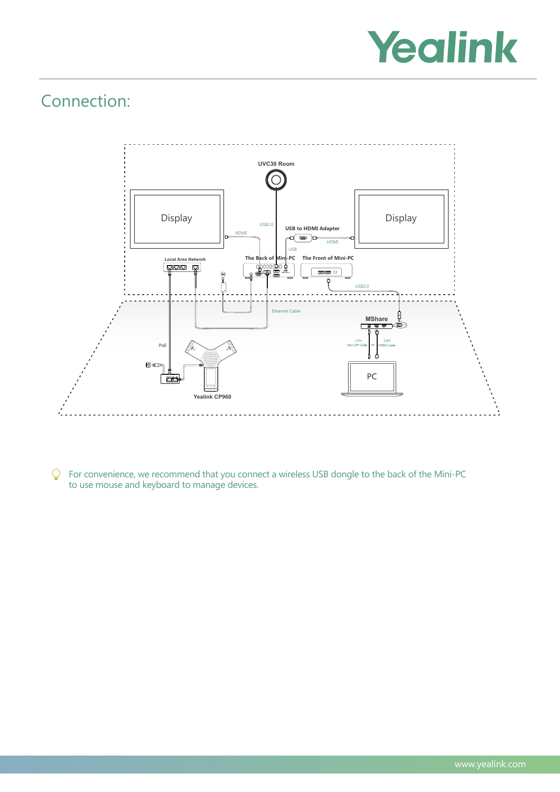

# Connection:



 $\bigcirc$ For convenience, we recommend that you connect a wireless USB dongle to the back of the Mini-PC to use mouse and keyboard to manage devices.